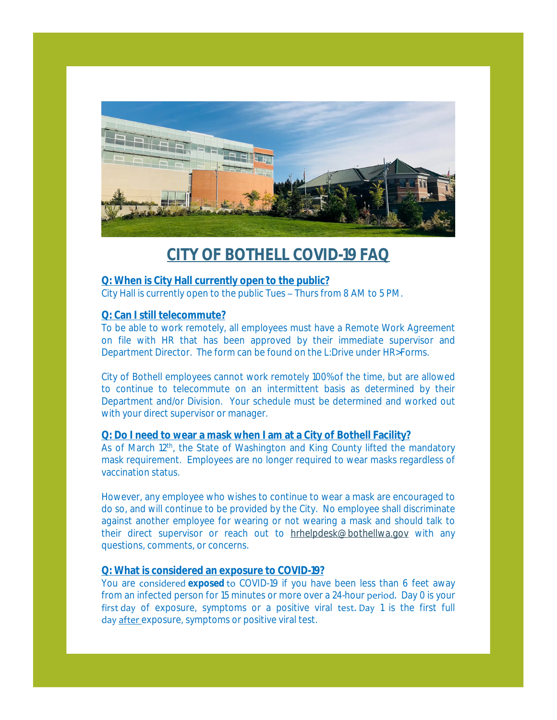

# **CITY OF BOTHELL COVID-19 FAQ**

#### **Q: When is City Hall currently open to the public?**

City Hall is currently open to the public Tues – Thurs from 8 AM to 5 PM.

## **Q: Can I still telecommute?**

To be able to work remotely, all employees must have a Remote Work Agreement on file with HR that has been approved by their immediate supervisor and Department Director. The form can be found on the L:Drive under HR>Forms.

City of Bothell employees cannot work remotely 100% of the time, but are allowed to continue to telecommute on an intermittent basis as determined by their Department and/or Division. Your schedule must be determined and worked out with your direct supervisor or manager.

## **Q: Do I need to wear a mask when I am at a City of Bothell Facility?**

As of March 12<sup>th</sup>, the State of Washington and King County lifted the mandatory mask requirement. Employees are no longer required to wear masks regardless of vaccination status.

However, any employee who wishes to continue to wear a mask are encouraged to do so, and will continue to be provided by the City. No employee shall discriminate against another employee for wearing or not wearing a mask and should talk to their direct supervisor or reach out to [hrhelpdesk@bothellwa.gov](mailto:hrhelpdesk@bothellwa.gov) with any questions, comments, or concerns.

## **Q: What is considered an exposure to COVID-19?**

You are considered **exposed** to COVID-19 if you have been less than 6 feet away from an infected person for 15 minutes or more over a 24-hour period. Day 0 is your first day of exposure, symptoms or a positive viral test. Day 1 is the first full day after exposure, symptoms or positive viral test.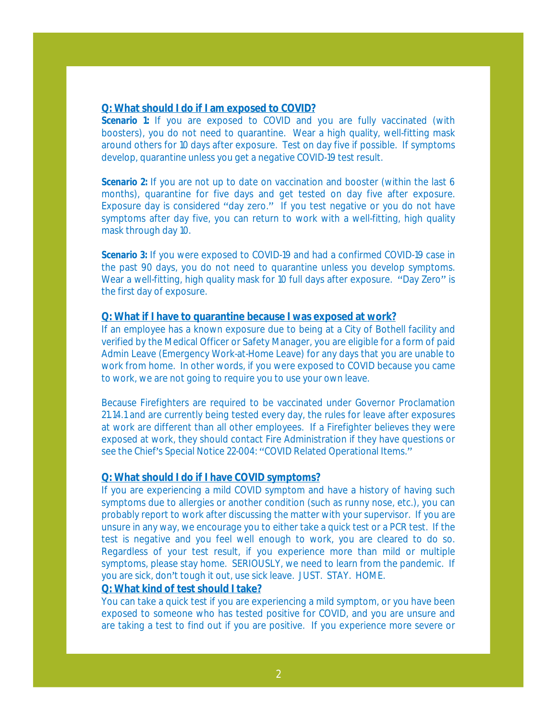#### **Q: What should I do if I am exposed to COVID?**

**Scenario** 1: If you are exposed to COVID and you are fully vaccinated (with boosters), you do not need to quarantine. Wear a high quality, well-fitting mask around others for 10 days after exposure. Test on day five if possible. If symptoms develop, quarantine unless you get a negative COVID-19 test result.

**Scenario** 2: If you are not up to date on vaccination and booster (within the last 6 months), quarantine for five days and get tested on day five after exposure. Exposure day is considered "day zero." If you test negative or you do not have symptoms after day five, you can return to work with a well-fitting, high quality mask through day 10.

**Scenario** 3: If you were exposed to COVID-19 and had a confirmed COVID-19 case in the past 90 days, you do not need to quarantine unless you develop symptoms. Wear a well-fitting, high quality mask for 10 full days after exposure. "Day Zero" is the first day of exposure.

#### **Q: What if I have to quarantine because I was exposed at work?**

If an employee has a known exposure due to being at a City of Bothell facility and verified by the Medical Officer or Safety Manager, you are eligible for a form of paid Admin Leave (Emergency Work-at-Home Leave) for any days that you are unable to work from home. In other words, if you were exposed to COVID because you came to work, we are not going to require you to use your own leave.

Because Firefighters are required to be vaccinated under Governor Proclamation 21.14.1 and are currently being tested every day, the rules for leave after exposures at work are different than all other employees. If a Firefighter believes they were exposed at work, they should contact Fire Administration if they have questions or see the Chief's Special Notice 22-004: "COVID Related Operational Items."

## **Q: What should I do if I have COVID symptoms?**

If you are experiencing a mild COVID symptom and have a history of having such symptoms due to allergies or another condition (such as runny nose, etc.), you can probably report to work after discussing the matter with your supervisor. If you are unsure in any way, we encourage you to either take a quick test or a PCR test. If the test is negative and you feel well enough to work, you are cleared to do so. Regardless of your test result, if you experience more than mild or multiple symptoms, please stay home. SERIOUSLY, we need to learn from the pandemic. If you are sick, don't tough it out, use sick leave. JUST. STAY. HOME.

#### **Q: What kind of test should I take?**

You can take a quick test if you are experiencing a mild symptom, or you have been exposed to someone who has tested positive for COVID, and you are unsure and are taking a test to find out if you are positive. If you experience more severe or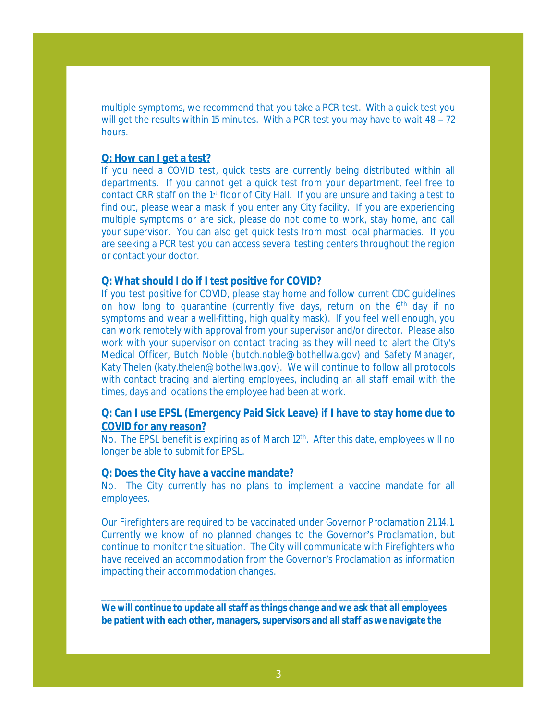multiple symptoms, we recommend that you take a PCR test. With a quick test you will get the results within 15 minutes. With a PCR test you may have to wait 48 – 72 hours.

## **Q: How can I get a test?**

If you need a COVID test, quick tests are currently being distributed within all departments. If you cannot get a quick test from your department, feel free to contact CRR staff on the 1<sup>st</sup> floor of City Hall. If you are unsure and taking a test to find out, please wear a mask if you enter any City facility. If you are experiencing multiple symptoms or are sick, please do not come to work, stay home, and call your supervisor. You can also get quick tests from most local pharmacies. If you are seeking a PCR test you can access several testing centers throughout the region or contact your doctor.

#### **Q: What should I do if I test positive for COVID?**

If you test positive for COVID, please stay home and follow current CDC guidelines on how long to quarantine (currently five days, return on the 6<sup>th</sup> day if no symptoms and wear a well-fitting, high quality mask). If you feel well enough, you can work remotely with approval from your supervisor and/or director. Please also work with your supervisor on contact tracing as they will need to alert the City's Medical Officer, Butch Noble (butch.noble@bothellwa.gov) and Safety Manager, Katy Thelen (katy.thelen@bothellwa.gov). We will continue to follow all protocols with contact tracing and alerting employees, including an all staff email with the times, days and locations the employee had been at work.

## **Q: Can I use EPSL (Emergency Paid Sick Leave) if I have to stay home due to COVID for any reason?**

No. The EPSL benefit is expiring as of March 12<sup>th</sup>. After this date, employees will no longer be able to submit for EPSL.

#### **Q: Does the City have a vaccine mandate?**

No. The City currently has no plans to implement a vaccine mandate for all employees.

Our Firefighters are required to be vaccinated under Governor Proclamation 21.14.1. Currently we know of no planned changes to the Governor's Proclamation, but continue to monitor the situation. The City will communicate with Firefighters who have received an accommodation from the Governor's Proclamation as information impacting their accommodation changes.

*We will continue to update all staff as things change and we ask that all employees be patient with each other, managers, supervisors and all staff as we navigate the* 

\_\_\_\_\_\_\_\_\_\_\_\_\_\_\_\_\_\_\_\_\_\_\_\_\_\_\_\_\_\_\_\_\_\_\_\_\_\_\_\_\_\_\_\_\_\_\_\_\_\_\_\_\_\_\_\_\_\_\_\_\_\_\_\_\_